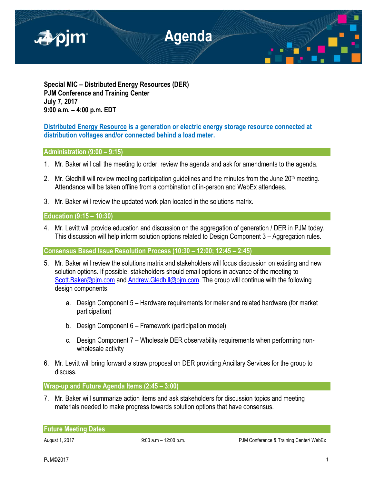

**Special MIC – Distributed Energy Resources (DER) PJM Conference and Training Center July 7, 2017 9:00 a.m. – 4:00 p.m. EDT**

**Distributed Energy Resource is a generation or electric energy storage resource connected at distribution voltages and/or connected behind a load meter.**

**Administration (9:00 – 9:15)**

- 1. Mr. Baker will call the meeting to order, review the agenda and ask for amendments to the agenda.
- 2. Mr. Gledhill will review meeting participation quidelines and the minutes from the June  $20<sup>th</sup>$  meeting. Attendance will be taken offline from a combination of in-person and WebEx attendees.
- 3. Mr. Baker will review the updated work plan located in the solutions matrix.

**Education (9:15 – 10:30)**

4. Mr. Levitt will provide education and discussion on the aggregation of generation / DER in PJM today. This discussion will help inform solution options related to Design Component 3 – Aggregation rules.

**Consensus Based Issue Resolution Process (10:30 – 12:00; 12:45 – 2:45)**

- 5. Mr. Baker will review the solutions matrix and stakeholders will focus discussion on existing and new solution options. If possible, stakeholders should email options in advance of the meeting to Scott.Baker@pim.com and Andrew.Gledhill@pim.com. The group will continue with the following design components:
	- a. Design Component 5 Hardware requirements for meter and related hardware (for market participation)
	- b. Design Component 6 Framework (participation model)
	- c. Design Component 7 Wholesale DER observability requirements when performing nonwholesale activity
- 6. Mr. Levitt will bring forward a straw proposal on DER providing Ancillary Services for the group to discuss.

**Wrap-up and Future Agenda Items (2:45 – 3:00)**

7. Mr. Baker will summarize action items and ask stakeholders for discussion topics and meeting materials needed to make progress towards solution options that have consensus.

| <b>Future Meeting Dates</b> |                          |                                         |
|-----------------------------|--------------------------|-----------------------------------------|
| August 1, 2017              | $9:00$ a.m $-12:00$ p.m. | PJM Conference & Training Center/ WebEx |

PJM©2017 1